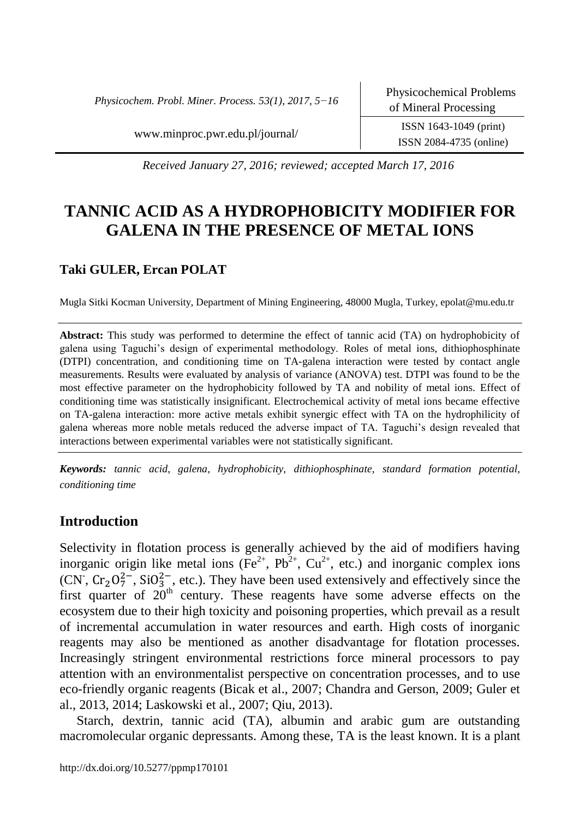*Physicochem. Probl. Miner. Process. 53(1), 2017, 5−16*

www.minproc.pwr.edu.pl/journal/ ISSN 1643-1049 (print)

ISSN 2084-4735 (online)

*Received January 27, 2016; reviewed; accepted March 17, 2016*

# **TANNIC ACID AS A HYDROPHOBICITY MODIFIER FOR GALENA IN THE PRESENCE OF METAL IONS**

# **Taki GULER, Ercan POLAT**

Mugla Sitki Kocman University, Department of Mining Engineering, 48000 Mugla, Turkey, epolat@mu.edu.tr

**Abstract:** This study was performed to determine the effect of tannic acid (TA) on hydrophobicity of galena using Taguchi's design of experimental methodology. Roles of metal ions, dithiophosphinate (DTPI) concentration, and conditioning time on TA-galena interaction were tested by contact angle measurements. Results were evaluated by analysis of variance (ANOVA) test. DTPI was found to be the most effective parameter on the hydrophobicity followed by TA and nobility of metal ions. Effect of conditioning time was statistically insignificant. Electrochemical activity of metal ions became effective on TA-galena interaction: more active metals exhibit synergic effect with TA on the hydrophilicity of galena whereas more noble metals reduced the adverse impact of TA. Taguchi's design revealed that interactions between experimental variables were not statistically significant.

*Keywords: tannic acid, galena, hydrophobicity, dithiophosphinate, standard formation potential, conditioning time*

# **Introduction**

Selectivity in flotation process is generally achieved by the aid of modifiers having inorganic origin like metal ions ( $\overline{Fe}^{2+}$ ,  $\overline{Pb}^{2+}$ ,  $\overline{Cu}^{2+}$ , etc.) and inorganic complex ions (CN,  $Cr_2O_7^{2-}$ , SiO<sub>3</sub><sup>-</sup>, etc.). They have been used extensively and effectively since the first quarter of  $20<sup>th</sup>$  century. These reagents have some adverse effects on the ecosystem due to their high toxicity and poisoning properties, which prevail as a result of incremental accumulation in water resources and earth. High costs of inorganic reagents may also be mentioned as another disadvantage for flotation processes. Increasingly stringent environmental restrictions force mineral processors to pay attention with an environmentalist perspective on concentration processes, and to use eco-friendly organic reagents (Bicak et al., 2007; Chandra and Gerson, 2009; Guler et al., 2013, 2014; Laskowski et al., 2007; Qiu, 2013).

Starch, dextrin, tannic acid (TA), albumin and arabic gum are outstanding macromolecular organic depressants. Among these, TA is the least known. It is a plant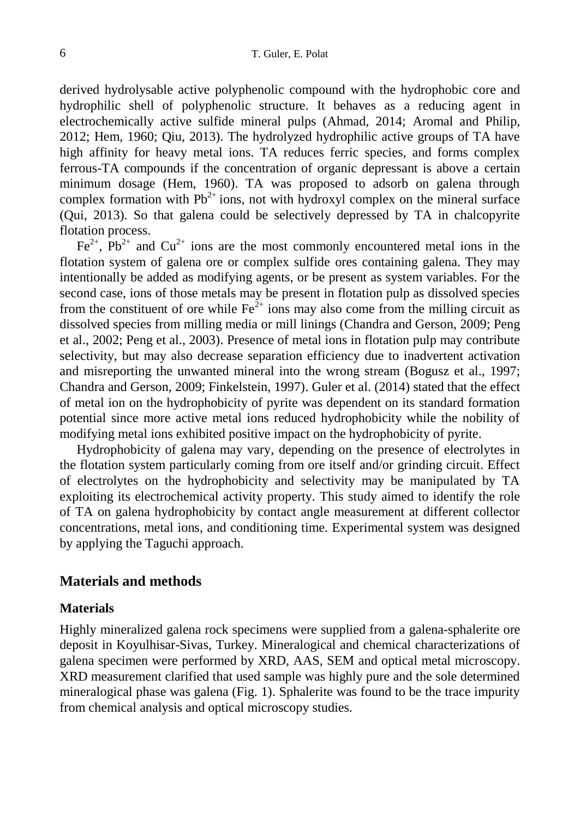derived hydrolysable active polyphenolic compound with the hydrophobic core and hydrophilic shell of polyphenolic structure. It behaves as a reducing agent in electrochemically active sulfide mineral pulps (Ahmad, 2014; Aromal and Philip, 2012; Hem, 1960; Qiu, 2013). The hydrolyzed hydrophilic active groups of TA have high affinity for heavy metal ions. TA reduces ferric species, and forms complex ferrous-TA compounds if the concentration of organic depressant is above a certain minimum dosage (Hem, 1960). TA was proposed to adsorb on galena through complex formation with  $Pb^{2+}$  ions, not with hydroxyl complex on the mineral surface (Qui, 2013). So that galena could be selectively depressed by TA in chalcopyrite flotation process.

 $Fe^{2+}$ ,  $Pb^{2+}$  and  $Cu^{2+}$  ions are the most commonly encountered metal ions in the flotation system of galena ore or complex sulfide ores containing galena. They may intentionally be added as modifying agents, or be present as system variables. For the second case, ions of those metals may be present in flotation pulp as dissolved species from the constituent of ore while  $Fe^{2+}$  ions may also come from the milling circuit as dissolved species from milling media or mill linings (Chandra and Gerson, 2009; Peng et al., 2002; Peng et al., 2003). Presence of metal ions in flotation pulp may contribute selectivity, but may also decrease separation efficiency due to inadvertent activation and misreporting the unwanted mineral into the wrong stream (Bogusz et al., 1997; Chandra and Gerson, 2009; Finkelstein, 1997). Guler et al. (2014) stated that the effect of metal ion on the hydrophobicity of pyrite was dependent on its standard formation potential since more active metal ions reduced hydrophobicity while the nobility of modifying metal ions exhibited positive impact on the hydrophobicity of pyrite.

Hydrophobicity of galena may vary, depending on the presence of electrolytes in the flotation system particularly coming from ore itself and/or grinding circuit. Effect of electrolytes on the hydrophobicity and selectivity may be manipulated by TA exploiting its electrochemical activity property. This study aimed to identify the role of TA on galena hydrophobicity by contact angle measurement at different collector concentrations, metal ions, and conditioning time. Experimental system was designed by applying the Taguchi approach.

### **Materials and methods**

#### **Materials**

Highly mineralized galena rock specimens were supplied from a galena-sphalerite ore deposit in Koyulhisar-Sivas, Turkey. Mineralogical and chemical characterizations of galena specimen were performed by XRD, AAS, SEM and optical metal microscopy. XRD measurement clarified that used sample was highly pure and the sole determined mineralogical phase was galena (Fig. 1). Sphalerite was found to be the trace impurity from chemical analysis and optical microscopy studies.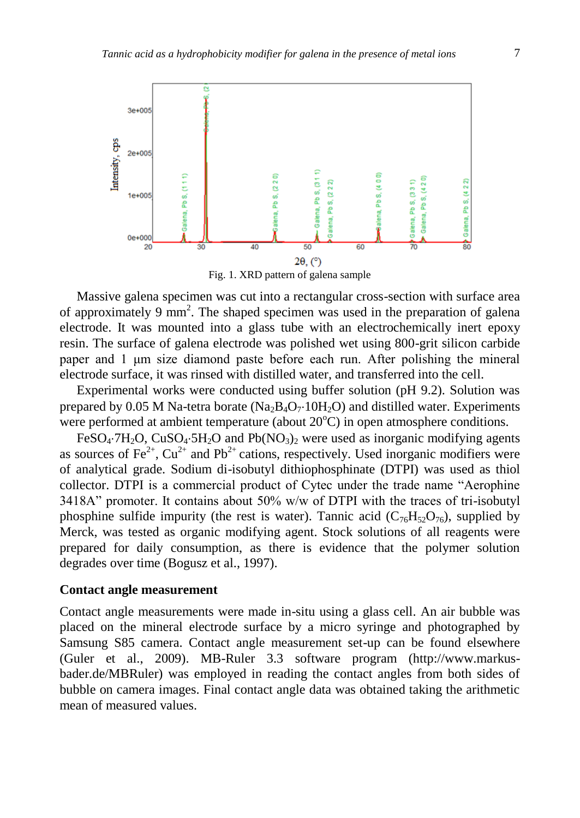

Massive galena specimen was cut into a rectangular cross-section with surface area of approximately 9 mm<sup>2</sup>. The shaped specimen was used in the preparation of galena electrode. It was mounted into a glass tube with an electrochemically inert epoxy resin. The surface of galena electrode was polished wet using 800-grit silicon carbide paper and 1 μm size diamond paste before each run. After polishing the mineral electrode surface, it was rinsed with distilled water, and transferred into the cell.

Experimental works were conducted using buffer solution (pH 9.2). Solution was prepared by 0.05 M Na-tetra borate (Na<sub>2</sub>B<sub>4</sub>O<sub>7</sub>·10H<sub>2</sub>O) and distilled water. Experiments were performed at ambient temperature (about  $20^{\circ}$ C) in open atmosphere conditions.

FeSO<sub>4</sub>.7H<sub>2</sub>O, CuSO<sub>4</sub>.5H<sub>2</sub>O and Pb(NO<sub>3</sub>)<sub>2</sub> were used as inorganic modifying agents as sources of Fe<sup>2+</sup>,  $Cu^{2+}$  and Pb<sup>2+</sup> cations, respectively. Used inorganic modifiers were of analytical grade. Sodium di-isobutyl dithiophosphinate (DTPI) was used as thiol collector. DTPI is a commercial product of Cytec under the trade name "Aerophine 3418A" promoter. It contains about 50% w/w of DTPI with the traces of tri-isobutyl phosphine sulfide impurity (the rest is water). Tannic acid  $(C_{76}H_{52}O_{76})$ , supplied by Merck, was tested as organic modifying agent. Stock solutions of all reagents were prepared for daily consumption, as there is evidence that the polymer solution degrades over time (Bogusz et al., 1997).

## **Contact angle measurement**

Contact angle measurements were made in-situ using a glass cell. An air bubble was placed on the mineral electrode surface by a micro syringe and photographed by Samsung S85 camera. Contact angle measurement set-up can be found elsewhere (Guler et al., 2009). MB-Ruler 3.3 software program (http://www.markusbader.de/MBRuler) was employed in reading the contact angles from both sides of bubble on camera images. Final contact angle data was obtained taking the arithmetic mean of measured values.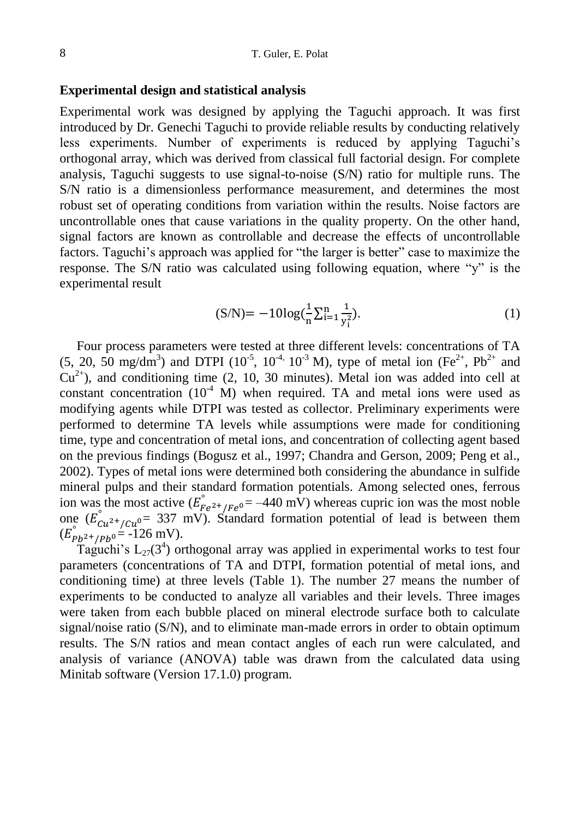#### **Experimental design and statistical analysis**

Experimental work was designed by applying the Taguchi approach. It was first introduced by Dr. Genechi Taguchi to provide reliable results by conducting relatively less experiments. Number of experiments is reduced by applying Taguchi's orthogonal array, which was derived from classical full factorial design. For complete analysis, Taguchi suggests to use signal-to-noise (S/N) ratio for multiple runs. The S/N ratio is a dimensionless performance measurement, and determines the most robust set of operating conditions from variation within the results. Noise factors are uncontrollable ones that cause variations in the quality property. On the other hand, signal factors are known as controllable and decrease the effects of uncontrollable factors. Taguchi's approach was applied for "the larger is better" case to maximize the response. The S/N ratio was calculated using following equation, where "y" is the experimental result

$$
(S/N) = -10\log(\frac{1}{n}\sum_{i=1}^{n}\frac{1}{y_i^2}).
$$
 (1)

Four process parameters were tested at three different levels: concentrations of TA (5, 20, 50 mg/dm<sup>3</sup>) and DTPI ( $10^{-5}$ ,  $10^{-4}$ ,  $10^{-3}$  M), type of metal ion (Fe<sup>2+</sup>, Pb<sup>2+</sup> and  $Cu<sup>2+</sup>$ ), and conditioning time (2, 10, 30 minutes). Metal ion was added into cell at constant concentration  $(10^4 \text{ M})$  when required. TA and metal ions were used as modifying agents while DTPI was tested as collector. Preliminary experiments were performed to determine TA levels while assumptions were made for conditioning time, type and concentration of metal ions, and concentration of collecting agent based on the previous findings (Bogusz et al., 1997; Chandra and Gerson, 2009; Peng et al., 2002). Types of metal ions were determined both considering the abundance in sulfide mineral pulps and their standard formation potentials. Among selected ones, ferrous ion was the most active  $(E_{Fe^{2+}/Fe^{0}}^{^{\circ}} = -440 \text{ mV})$  whereas cupric ion was the most noble one  $(E_{Cu^{2+}/Cu^{0}}^{\circ} = 337 \text{ mV})$ . Standard formation potential of lead is between them  $(E_{Pb^{2+}/Pb^{0}}^{\circ} = -126 \text{ mV}).$ 

Taguchi's  $L_{27}(3^4)$  orthogonal array was applied in experimental works to test four parameters (concentrations of TA and DTPI, formation potential of metal ions, and conditioning time) at three levels (Table 1). The number 27 means the number of experiments to be conducted to analyze all variables and their levels. Three images were taken from each bubble placed on mineral electrode surface both to calculate signal/noise ratio (S/N), and to eliminate man-made errors in order to obtain optimum results. The S/N ratios and mean contact angles of each run were calculated, and analysis of variance (ANOVA) table was drawn from the calculated data using Minitab software (Version 17.1.0) program.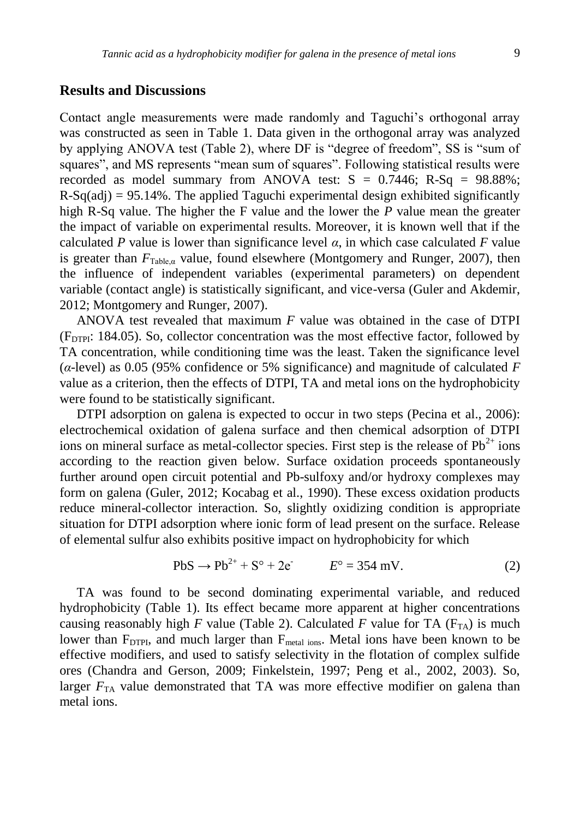## **Results and Discussions**

Contact angle measurements were made randomly and Taguchi's orthogonal array was constructed as seen in Table 1. Data given in the orthogonal array was analyzed by applying ANOVA test (Table 2), where DF is "degree of freedom", SS is "sum of squares", and MS represents "mean sum of squares". Following statistical results were recorded as model summary from ANOVA test:  $S = 0.7446$ ; R-Sq = 98.88%;  $R-Sq(adi) = 95.14\%$ . The applied Taguchi experimental design exhibited significantly high R-Sq value. The higher the F value and the lower the *P* value mean the greater the impact of variable on experimental results. Moreover, it is known well that if the calculated *P* value is lower than significance level  $\alpha$ , in which case calculated *F* value is greater than  $F_{Table a}$  value, found elsewhere (Montgomery and Runger, 2007), then the influence of independent variables (experimental parameters) on dependent variable (contact angle) is statistically significant, and vice-versa (Guler and Akdemir, 2012; Montgomery and Runger, 2007).

ANOVA test revealed that maximum *F* value was obtained in the case of DTPI  $(F<sub>DTPI</sub>: 184.05)$ . So, collector concentration was the most effective factor, followed by TA concentration, while conditioning time was the least. Taken the significance level (*α*-level) as 0.05 (95% confidence or 5% significance) and magnitude of calculated *F* value as a criterion, then the effects of DTPI, TA and metal ions on the hydrophobicity were found to be statistically significant.

DTPI adsorption on galena is expected to occur in two steps (Pecina et al., 2006): electrochemical oxidation of galena surface and then chemical adsorption of DTPI ions on mineral surface as metal-collector species. First step is the release of  $Pb^{2+}$  ions according to the reaction given below. Surface oxidation proceeds spontaneously further around open circuit potential and Pb-sulfoxy and/or hydroxy complexes may form on galena (Guler, 2012; Kocabag et al., 1990). These excess oxidation products reduce mineral-collector interaction. So, slightly oxidizing condition is appropriate situation for DTPI adsorption where ionic form of lead present on the surface. Release of elemental sulfur also exhibits positive impact on hydrophobicity for which

$$
PbS \to Pb^{2+} + S^{\circ} + 2e^{-} \qquad E^{\circ} = 354 \text{ mV}.
$$
 (2)

TA was found to be second dominating experimental variable, and reduced hydrophobicity (Table 1). Its effect became more apparent at higher concentrations causing reasonably high *F* value (Table 2). Calculated *F* value for TA ( $F_{TA}$ ) is much lower than  $F_{DTPI}$ , and much larger than  $F_{metal\;ions}$ . Metal ions have been known to be effective modifiers, and used to satisfy selectivity in the flotation of complex sulfide ores (Chandra and Gerson, 2009; Finkelstein, 1997; Peng et al., 2002, 2003). So, larger  $F_{TA}$  value demonstrated that TA was more effective modifier on galena than metal ions.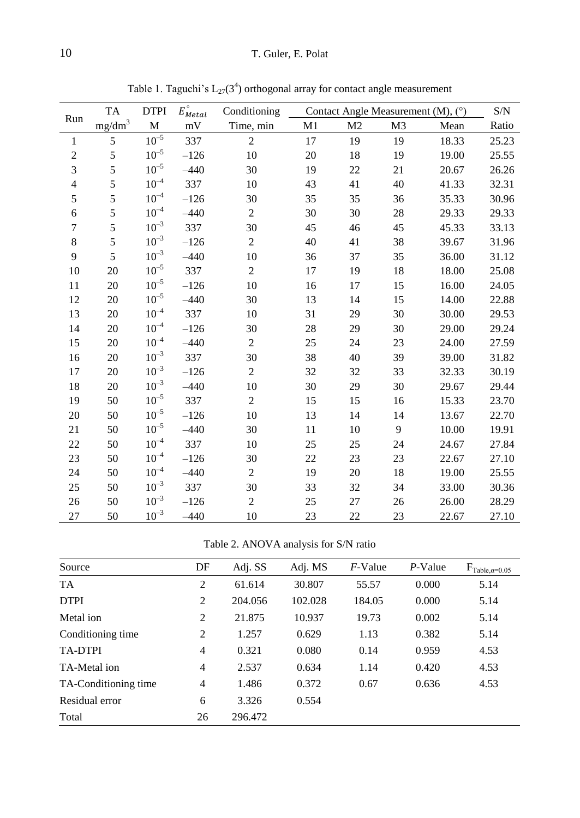|                |                    | <b>TA</b><br><b>DTPI</b> |                           | Conditioning   | Contact Angle Measurement (M), $(°)$ | S/N            |                |       |       |
|----------------|--------------------|--------------------------|---------------------------|----------------|--------------------------------------|----------------|----------------|-------|-------|
| Run            | mg/dm <sup>3</sup> | $\mathbf M$              | $E_{Metal}^{\circ}$<br>mV | Time, min      | M1                                   | M <sub>2</sub> | M <sub>3</sub> | Mean  | Ratio |
| $\mathbf{1}$   | 5                  | $10^{-5}\,$              | 337                       | $\overline{c}$ | 17                                   | 19             | 19             | 18.33 | 25.23 |
| $\sqrt{2}$     | 5                  | $10^{-5}$                | $-126$                    | 10             | 20                                   | 18             | 19             | 19.00 | 25.55 |
| $\mathfrak{Z}$ | 5                  | $10^{-5}$                | $-440$                    | 30             | 19                                   | 22             | 21             | 20.67 | 26.26 |
| $\overline{4}$ | 5                  | $10^{-4}$                | 337                       | 10             | 43                                   | 41             | 40             | 41.33 | 32.31 |
| 5              | 5                  | $10^{-4}$                | $-126$                    | 30             | 35                                   | 35             | 36             | 35.33 | 30.96 |
| 6              | 5                  | $10^{-4}$                | $-440$                    | $\mathbf{2}$   | 30                                   | 30             | 28             | 29.33 | 29.33 |
| 7              | 5                  | $10^{-3}$                | 337                       | 30             | 45                                   | 46             | 45             | 45.33 | 33.13 |
| $8\,$          | 5                  | $10^{-3}$                | $-126$                    | $\mathbf{2}$   | 40                                   | 41             | 38             | 39.67 | 31.96 |
| 9              | 5                  | $10^{-3}$                | $-440$                    | 10             | 36                                   | 37             | 35             | 36.00 | 31.12 |
| 10             | 20                 | $10^{-5}$                | 337                       | $\overline{2}$ | 17                                   | 19             | 18             | 18.00 | 25.08 |
| 11             | 20                 | $10^{-5}$                | $-126$                    | 10             | 16                                   | 17             | 15             | 16.00 | 24.05 |
| 12             | 20                 | $10^{-5}$                | $-440$                    | 30             | 13                                   | 14             | 15             | 14.00 | 22.88 |
| 13             | 20                 | $10^{-4}$                | 337                       | 10             | 31                                   | 29             | 30             | 30.00 | 29.53 |
| 14             | 20                 | $10^{-4}$                | $-126$                    | 30             | 28                                   | 29             | 30             | 29.00 | 29.24 |
| 15             | 20                 | $10^{-4}$                | $-440$                    | $\sqrt{2}$     | 25                                   | 24             | 23             | 24.00 | 27.59 |
| 16             | 20                 | $10^{-3}$                | 337                       | 30             | 38                                   | 40             | 39             | 39.00 | 31.82 |
| 17             | 20                 | $10^{-3}$                | $-126$                    | $\overline{c}$ | 32                                   | 32             | 33             | 32.33 | 30.19 |
| 18             | 20                 | $10^{-3}$                | $-440$                    | 10             | 30                                   | 29             | 30             | 29.67 | 29.44 |
| 19             | 50                 | $10^{-5}$                | 337                       | $\mathbf{2}$   | 15                                   | 15             | 16             | 15.33 | 23.70 |
| 20             | 50                 | $10^{-5}$                | $-126$                    | 10             | 13                                   | 14             | 14             | 13.67 | 22.70 |
| 21             | 50                 | $10^{-5}$                | $-440$                    | 30             | 11                                   | 10             | 9              | 10.00 | 19.91 |
| $22\,$         | 50                 | $10^{-4}$                | 337                       | 10             | 25                                   | 25             | 24             | 24.67 | 27.84 |
| 23             | 50                 | $10^{-4}$                | $-126$                    | 30             | 22                                   | 23             | 23             | 22.67 | 27.10 |
| 24             | 50                 | $10^{-4}$                | $-440$                    | $\overline{c}$ | 19                                   | 20             | 18             | 19.00 | 25.55 |
| 25             | 50                 | $10^{-3}$                | 337                       | 30             | 33                                   | 32             | 34             | 33.00 | 30.36 |
| 26             | 50                 | $10^{-3}$                | $-126$                    | $\overline{2}$ | 25                                   | 27             | 26             | 26.00 | 28.29 |
| 27             | 50                 | $10^{-3}$                | $-440$                    | 10             | 23                                   | 22             | 23             | 22.67 | 27.10 |

Table 1. Taguchi's  $L_{27}(3^4)$  orthogonal array for contact angle measurement

Table 2. ANOVA analysis for S/N ratio

| Source               | DF             | Adj. SS | Adj. MS | $F$ -Value | $P-Value$ | $F_{Table, \alpha=0.05}$ |
|----------------------|----------------|---------|---------|------------|-----------|--------------------------|
| <b>TA</b>            | 2              | 61.614  | 30.807  | 55.57      | 0.000     | 5.14                     |
| <b>DTPI</b>          | 2              | 204.056 | 102.028 | 184.05     | 0.000     | 5.14                     |
| Metal ion            | 2              | 21.875  | 10.937  | 19.73      | 0.002     | 5.14                     |
| Conditioning time    | $\overline{c}$ | 1.257   | 0.629   | 1.13       | 0.382     | 5.14                     |
| <b>TA-DTPI</b>       | $\overline{4}$ | 0.321   | 0.080   | 0.14       | 0.959     | 4.53                     |
| TA-Metal ion         | $\overline{4}$ | 2.537   | 0.634   | 1.14       | 0.420     | 4.53                     |
| TA-Conditioning time | $\overline{4}$ | 1.486   | 0.372   | 0.67       | 0.636     | 4.53                     |
| Residual error       | 6              | 3.326   | 0.554   |            |           |                          |
| Total                | 26             | 296.472 |         |            |           |                          |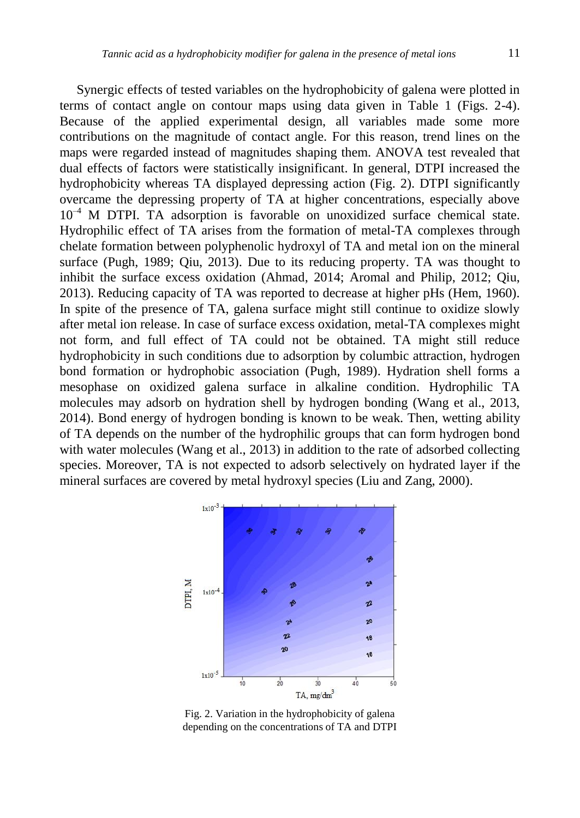Synergic effects of tested variables on the hydrophobicity of galena were plotted in terms of contact angle on contour maps using data given in Table 1 (Figs. 2-4). Because of the applied experimental design, all variables made some more contributions on the magnitude of contact angle. For this reason, trend lines on the maps were regarded instead of magnitudes shaping them. ANOVA test revealed that dual effects of factors were statistically insignificant. In general, DTPI increased the hydrophobicity whereas TA displayed depressing action (Fig. 2). DTPI significantly overcame the depressing property of TA at higher concentrations, especially above 10<sup>-4</sup> M DTPI. TA adsorption is favorable on unoxidized surface chemical state. Hydrophilic effect of TA arises from the formation of metal-TA complexes through chelate formation between polyphenolic hydroxyl of TA and metal ion on the mineral surface (Pugh, 1989; Qiu, 2013). Due to its reducing property. TA was thought to inhibit the surface excess oxidation (Ahmad, 2014; Aromal and Philip, 2012; Qiu, 2013). Reducing capacity of TA was reported to decrease at higher pHs (Hem, 1960). In spite of the presence of TA, galena surface might still continue to oxidize slowly after metal ion release. In case of surface excess oxidation, metal-TA complexes might not form, and full effect of TA could not be obtained. TA might still reduce hydrophobicity in such conditions due to adsorption by columbic attraction, hydrogen bond formation or hydrophobic association (Pugh, 1989). Hydration shell forms a mesophase on oxidized galena surface in alkaline condition. Hydrophilic TA molecules may adsorb on hydration shell by hydrogen bonding (Wang et al., 2013, 2014). Bond energy of hydrogen bonding is known to be weak. Then, wetting ability of TA depends on the number of the hydrophilic groups that can form hydrogen bond with water molecules (Wang et al., 2013) in addition to the rate of adsorbed collecting species. Moreover, TA is not expected to adsorb selectively on hydrated layer if the mineral surfaces are covered by metal hydroxyl species (Liu and Zang, 2000).



Fig. 2. Variation in the hydrophobicity of galena depending on the concentrations of TA and DTPI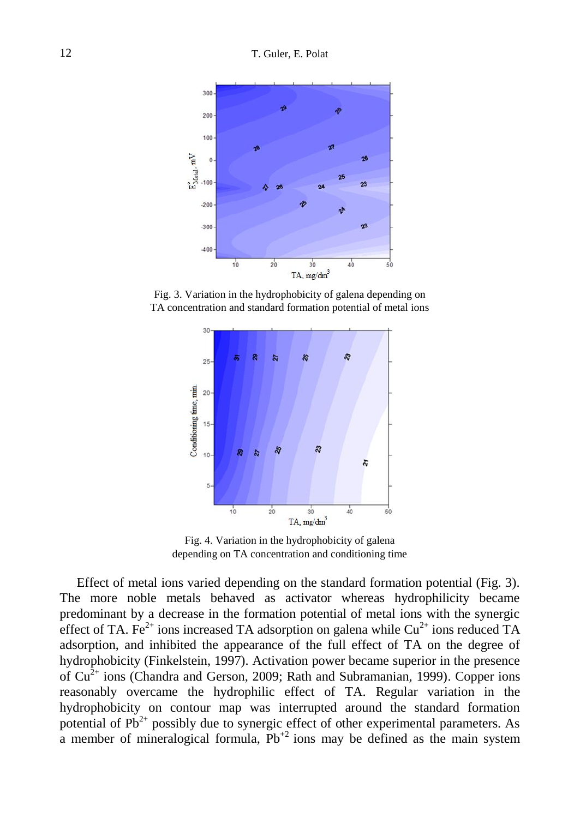

Fig. 3. Variation in the hydrophobicity of galena depending on TA concentration and standard formation potential of metal ions



Fig. 4. Variation in the hydrophobicity of galena depending on TA concentration and conditioning time

Effect of metal ions varied depending on the standard formation potential (Fig. 3). The more noble metals behaved as activator whereas hydrophilicity became predominant by a decrease in the formation potential of metal ions with the synergic effect of TA. Fe<sup>2+</sup> ions increased TA adsorption on galena while  $Cu^{2+}$  ions reduced TA adsorption, and inhibited the appearance of the full effect of TA on the degree of hydrophobicity (Finkelstein, 1997). Activation power became superior in the presence of  $Cu<sup>2+</sup>$  ions (Chandra and Gerson, 2009; Rath and Subramanian, 1999). Copper ions reasonably overcame the hydrophilic effect of TA. Regular variation in the hydrophobicity on contour map was interrupted around the standard formation potential of  $Pb^{2+}$  possibly due to synergic effect of other experimental parameters. As a member of mineralogical formula,  $Pb^{2}$  ions may be defined as the main system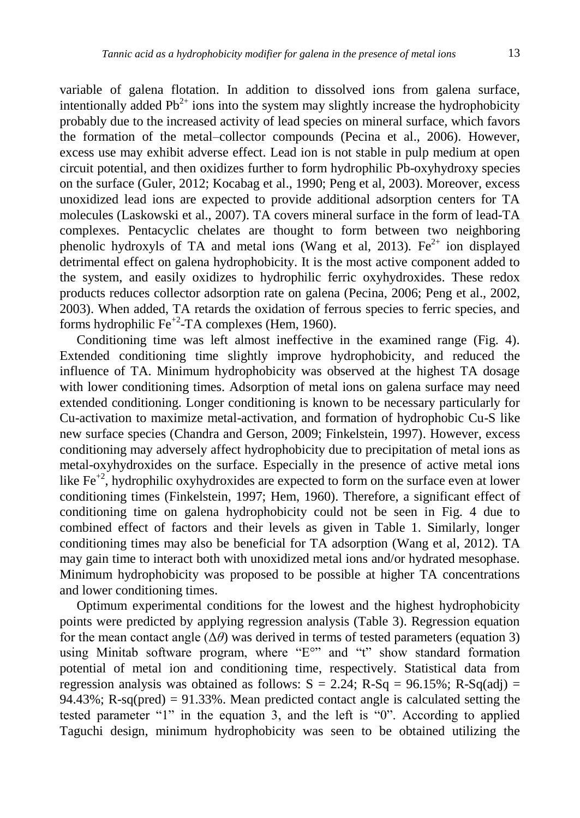variable of galena flotation. In addition to dissolved ions from galena surface, intentionally added  $Pb^{2+}$  ions into the system may slightly increase the hydrophobicity probably due to the increased activity of lead species on mineral surface, which favors the formation of the metal–collector compounds (Pecina et al., 2006). However, excess use may exhibit adverse effect. Lead ion is not stable in pulp medium at open circuit potential, and then oxidizes further to form hydrophilic Pb-oxyhydroxy species

on the surface (Guler, 2012; Kocabag et al., 1990; Peng et al, 2003). Moreover, excess unoxidized lead ions are expected to provide additional adsorption centers for TA molecules (Laskowski et al., 2007). TA covers mineral surface in the form of lead-TA complexes. Pentacyclic chelates are thought to form between two neighboring phenolic hydroxyls of TA and metal ions (Wang et al, 2013). Fe<sup>2+</sup> ion displayed detrimental effect on galena hydrophobicity. It is the most active component added to the system, and easily oxidizes to hydrophilic ferric oxyhydroxides. These redox products reduces collector adsorption rate on galena (Pecina, 2006; Peng et al., 2002, 2003). When added, TA retards the oxidation of ferrous species to ferric species, and forms hydrophilic  $Fe^{+2}$ -TA complexes (Hem, 1960).

Conditioning time was left almost ineffective in the examined range (Fig. 4). Extended conditioning time slightly improve hydrophobicity, and reduced the influence of TA. Minimum hydrophobicity was observed at the highest TA dosage with lower conditioning times. Adsorption of metal ions on galena surface may need extended conditioning. Longer conditioning is known to be necessary particularly for Cu-activation to maximize metal-activation, and formation of hydrophobic Cu-S like new surface species (Chandra and Gerson, 2009; Finkelstein, 1997). However, excess conditioning may adversely affect hydrophobicity due to precipitation of metal ions as metal-oxyhydroxides on the surface. Especially in the presence of active metal ions like  $Fe<sup>+2</sup>$ , hydrophilic oxyhydroxides are expected to form on the surface even at lower conditioning times (Finkelstein, 1997; Hem, 1960). Therefore, a significant effect of conditioning time on galena hydrophobicity could not be seen in Fig. 4 due to combined effect of factors and their levels as given in Table 1. Similarly, longer conditioning times may also be beneficial for TA adsorption (Wang et al, 2012). TA may gain time to interact both with unoxidized metal ions and/or hydrated mesophase. Minimum hydrophobicity was proposed to be possible at higher TA concentrations and lower conditioning times.

Optimum experimental conditions for the lowest and the highest hydrophobicity points were predicted by applying regression analysis (Table 3). Regression equation for the mean contact angle  $(\Delta \theta)$  was derived in terms of tested parameters (equation 3) using Minitab software program, where "E°" and "t" show standard formation potential of metal ion and conditioning time, respectively. Statistical data from regression analysis was obtained as follows:  $S = 2.24$ ; R-Sq = 96.15%; R-Sq(adj) = 94.43%; R-sq(pred) = 91.33%. Mean predicted contact angle is calculated setting the tested parameter "1" in the equation 3, and the left is "0". According to applied Taguchi design, minimum hydrophobicity was seen to be obtained utilizing the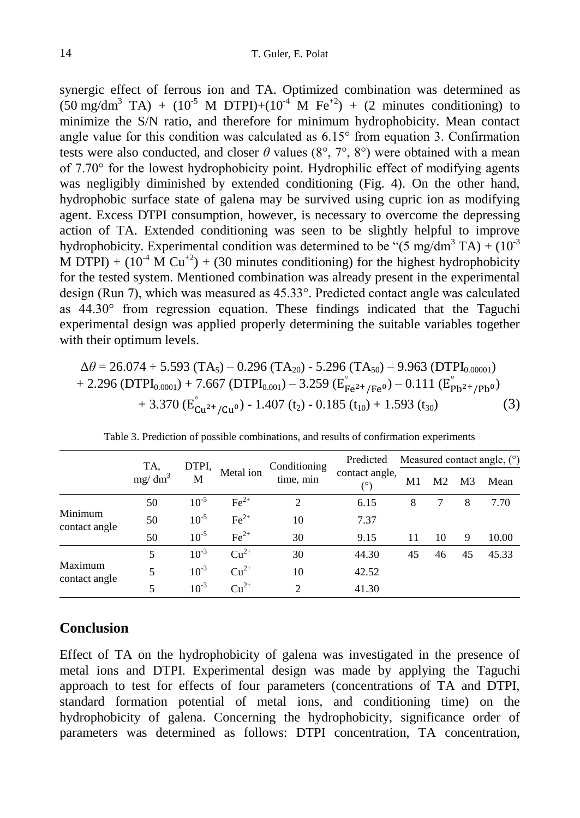synergic effect of ferrous ion and TA. Optimized combination was determined as  $(50 \text{ mg/dm}^3 \text{ TA}) + (10^{-5} \text{ M DTPI}) + (10^{4} \text{ M Fe}^{+2}) + (2 \text{ minutes conditioning})$  to minimize the S/N ratio, and therefore for minimum hydrophobicity. Mean contact angle value for this condition was calculated as 6.15° from equation 3. Confirmation tests were also conducted, and closer  $\theta$  values (8°, 7°, 8°) were obtained with a mean of 7.70° for the lowest hydrophobicity point. Hydrophilic effect of modifying agents was negligibly diminished by extended conditioning (Fig. 4). On the other hand, hydrophobic surface state of galena may be survived using cupric ion as modifying agent. Excess DTPI consumption, however, is necessary to overcome the depressing action of TA. Extended conditioning was seen to be slightly helpful to improve hydrophobicity. Experimental condition was determined to be " $(5 \text{ mg/dm}^3 \text{ TA}) + (10^{-3} \text{ T})^3$ M DTPI) +  $(10^{-4} \text{ M Cu}^{+2})$  +  $(30 \text{ minutes conditioning})$  for the highest hydrophobicity for the tested system. Mentioned combination was already present in the experimental design (Run 7), which was measured as 45.33°. Predicted contact angle was calculated as 44.30° from regression equation. These findings indicated that the Taguchi experimental design was applied properly determining the suitable variables together with their optimum levels.

$$
\Delta\theta = 26.074 + 5.593 \text{ (TA}_5) - 0.296 \text{ (TA}_{20}) - 5.296 \text{ (TA}_{50}) - 9.963 \text{ (DTPI}_{0.00001}) + 2.296 \text{ (DTPI}_{0.0001}) + 7.667 \text{ (DTPI}_{0.001}) - 3.259 \text{ (E}_{Fe^{2+}/Fe^{0}}^{^{\circ}}) - 0.111 \text{ (E}_{Pb^{2+}/Pb^{0}}^{^{\circ}})+ 3.370 \text{ (E}_{Cu^{2+}/Cu^{0}}^{^{\circ}}) - 1.407 \text{ (t}_{2}) - 0.185 \text{ (t}_{10}) + 1.593 \text{ (t}_{30})
$$
 (3)

|                          | TA,       | DTPI,<br>М | Metal ion        | Conditioning<br>time, min   | Predicted      | Measured contact angle, $(°)$ |                |                |       |
|--------------------------|-----------|------------|------------------|-----------------------------|----------------|-------------------------------|----------------|----------------|-------|
|                          | $mg/dm^3$ |            |                  |                             | contact angle, | M1                            | M <sub>2</sub> | M <sub>3</sub> | Mean  |
|                          | 50        | $10^{-5}$  | $\text{Fe}^{2+}$ | 2                           | 6.15           | 8                             | 7              | 8              | 7.70  |
| Minimum<br>contact angle | 50        | $10^{-5}$  | $\text{Fe}^{2+}$ | 10                          | 7.37           |                               |                |                |       |
|                          | 50        | $10^{-5}$  | $\text{Fe}^{2+}$ | 30                          | 9.15           | 11                            | 10             | 9              | 10.00 |
|                          | 5         | $10^{-3}$  | $Cu^{2+}$        | 30                          | 44.30          | 45                            | 46             | 45             | 45.33 |
| Maximum<br>contact angle | 5         | $10^{-3}$  | $Cu^{2+}$        | 10                          | 42.52          |                               |                |                |       |
|                          |           | $10^{-3}$  | $Cu^{2+}$        | $\mathcal{D}_{\mathcal{A}}$ | 41.30          |                               |                |                |       |

Table 3. Prediction of possible combinations, and results of confirmation experiments

## **Conclusion**

Effect of TA on the hydrophobicity of galena was investigated in the presence of metal ions and DTPI. Experimental design was made by applying the Taguchi approach to test for effects of four parameters (concentrations of TA and DTPI, standard formation potential of metal ions, and conditioning time) on the hydrophobicity of galena. Concerning the hydrophobicity, significance order of parameters was determined as follows: DTPI concentration, TA concentration,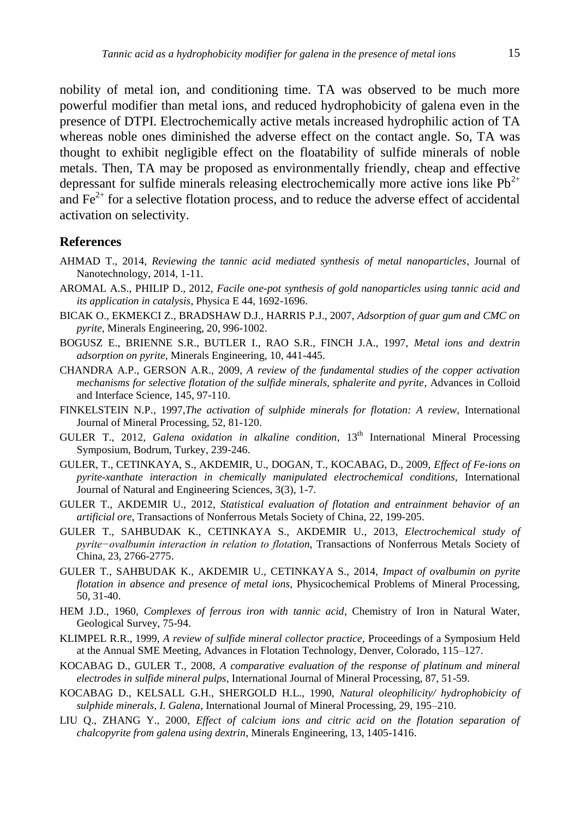nobility of metal ion, and conditioning time. TA was observed to be much more powerful modifier than metal ions, and reduced hydrophobicity of galena even in the presence of DTPI. Electrochemically active metals increased hydrophilic action of TA whereas noble ones diminished the adverse effect on the contact angle. So, TA was thought to exhibit negligible effect on the floatability of sulfide minerals of noble metals. Then, TA may be proposed as environmentally friendly, cheap and effective depressant for sulfide minerals releasing electrochemically more active ions like  $Pb^{2+}$ and  $\text{Fe}^{2+}$  for a selective flotation process, and to reduce the adverse effect of accidental activation on selectivity.

#### **References**

- AHMAD T., 2014, *Reviewing the tannic acid mediated synthesis of metal nanoparticles*, Journal of Nanotechnology, 2014, 1-11.
- AROMAL A.S., PHILIP D., 2012, *Facile one-pot synthesis of gold nanoparticles using tannic acid and its application in catalysis*, Physica E 44, 1692-1696.
- BICAK O., EKMEKCI Z., BRADSHAW D.J., HARRIS P.J., 2007, *Adsorption of guar gum and CMC on pyrite*, Minerals Engineering, 20, 996-1002.
- BOGUSZ E., BRIENNE S.R., BUTLER I., RAO S.R., FINCH J.A., 1997, *Metal ions and dextrin adsorption on pyrite*, Minerals Engineering, 10, 441-445.
- CHANDRA A.P., GERSON A.R., 2009, *A review of the fundamental studies of the copper activation mechanisms for selective flotation of the sulfide minerals, sphalerite and pyrite*, Advances in Colloid and Interface Science, 145, 97-110.
- FINKELSTEIN N.P., 1997,*The activation of sulphide minerals for flotation: A review,* International Journal of Mineral Processing, 52, 81-120.
- GULER T., 2012, *Galena oxidation in alkaline condition*, 13th International Mineral Processing Symposium, Bodrum, Turkey, 239-246.
- GULER, T., CETINKAYA, S., AKDEMIR, U., DOGAN, T., KOCABAG, D., 2009, *Effect of Fe-ions on pyrite-xanthate interaction in chemically manipulated electrochemical conditions,* International Journal of Natural and Engineering Sciences, 3(3), 1-7.
- GULER T., AKDEMIR U., 2012, *Statistical evaluation of flotation and entrainment behavior of an artificial ore*, Transactions of Nonferrous Metals Society of China, 22, 199-205.
- GULER T., SAHBUDAK K., CETINKAYA S., AKDEMIR U., 2013, *Electrochemical study of pyrite−ovalbumin interaction in relation to flotation*, Transactions of Nonferrous Metals Society of China, 23, 2766-2775.
- GULER T., SAHBUDAK K., AKDEMIR U., CETINKAYA S., 2014, *Impact of ovalbumin on pyrite flotation in absence and presence of metal ions*, Physicochemical Problems of Mineral Processing, 50, 31-40.
- HEM J.D., 1960, *Complexes of ferrous iron with tannic acid*, Chemistry of Iron in Natural Water, Geological Survey, 75-94.
- KLIMPEL R.R., 1999, *A review of sulfide mineral collector practice*, Proceedings of a Symposium Held at the Annual SME Meeting, Advances in Flotation Technology, Denver, Colorado, 115–127.
- KOCABAG D., GULER T., 2008, *A comparative evaluation of the response of platinum and mineral electrodes in sulfide mineral pulps*, International Journal of Mineral Processing, 87, 51-59.
- KOCABAG D., KELSALL G.H., SHERGOLD H.L., 1990, *Natural oleophilicity/ hydrophobicity of sulphide minerals, I. Galena*, International Journal of Mineral Processing, 29, 195–210.
- LIU Q., ZHANG Y., 2000, *Effect of calcium ions and citric acid on the flotation separation of chalcopyrite from galena using dextrin*, Minerals Engineering, 13, 1405-1416.